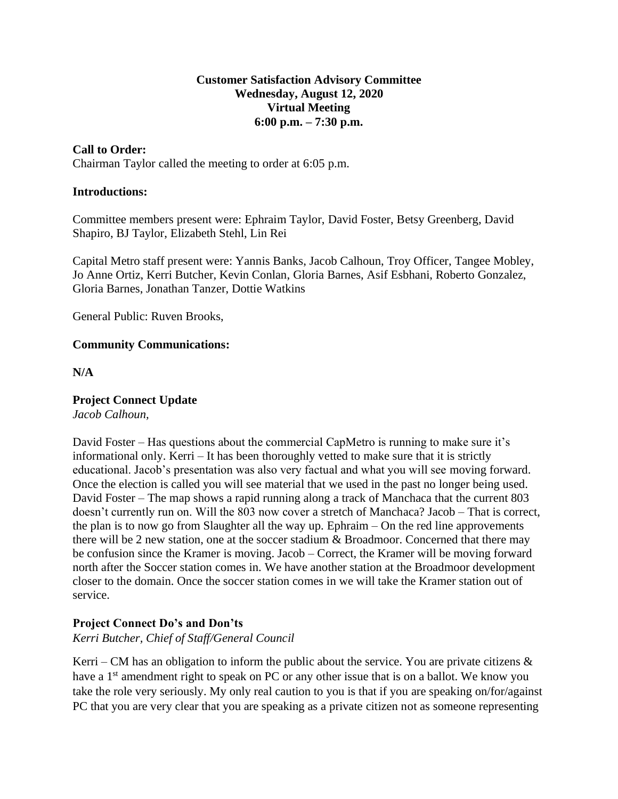### **Customer Satisfaction Advisory Committee Wednesday, August 12, 2020 Virtual Meeting 6:00 p.m. – 7:30 p.m.**

### **Call to Order:**

Chairman Taylor called the meeting to order at 6:05 p.m.

### **Introductions:**

Committee members present were: Ephraim Taylor, David Foster, Betsy Greenberg, David Shapiro, BJ Taylor, Elizabeth Stehl, Lin Rei

Capital Metro staff present were: Yannis Banks, Jacob Calhoun, Troy Officer, Tangee Mobley, Jo Anne Ortiz, Kerri Butcher, Kevin Conlan, Gloria Barnes, Asif Esbhani, Roberto Gonzalez, Gloria Barnes, Jonathan Tanzer, Dottie Watkins

General Public: Ruven Brooks,

### **Community Communications:**

**N/A**

## **Project Connect Update**

*Jacob Calhoun,* 

David Foster – Has questions about the commercial CapMetro is running to make sure it's informational only. Kerri – It has been thoroughly vetted to make sure that it is strictly educational. Jacob's presentation was also very factual and what you will see moving forward. Once the election is called you will see material that we used in the past no longer being used. David Foster – The map shows a rapid running along a track of Manchaca that the current 803 doesn't currently run on. Will the 803 now cover a stretch of Manchaca? Jacob – That is correct, the plan is to now go from Slaughter all the way up. Ephraim – On the red line approvements there will be 2 new station, one at the soccer stadium & Broadmoor. Concerned that there may be confusion since the Kramer is moving. Jacob – Correct, the Kramer will be moving forward north after the Soccer station comes in. We have another station at the Broadmoor development closer to the domain. Once the soccer station comes in we will take the Kramer station out of service.

## **Project Connect Do's and Don'ts**

*Kerri Butcher, Chief of Staff/General Council* 

Kerri – CM has an obligation to inform the public about the service. You are private citizens  $\&$ have a 1<sup>st</sup> amendment right to speak on PC or any other issue that is on a ballot. We know you take the role very seriously. My only real caution to you is that if you are speaking on/for/against PC that you are very clear that you are speaking as a private citizen not as someone representing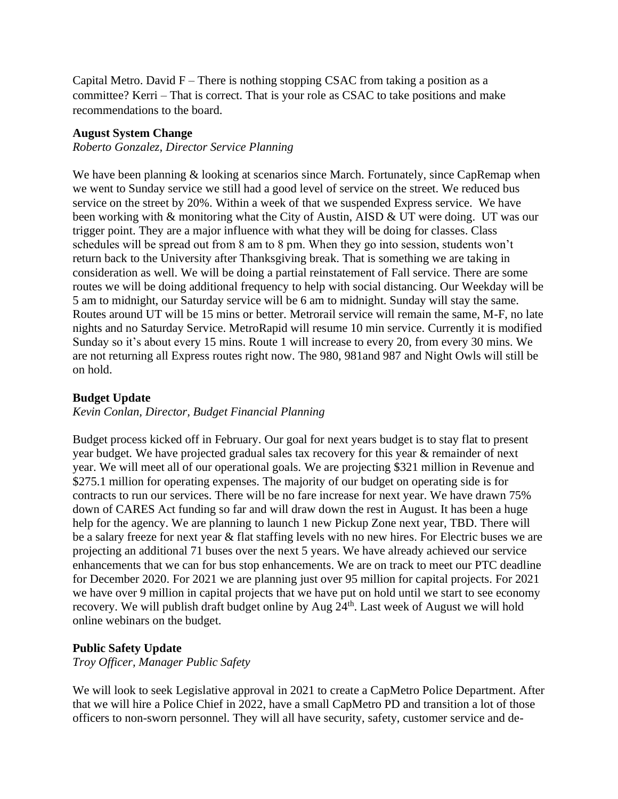Capital Metro. David  $F$  – There is nothing stopping CSAC from taking a position as a committee? Kerri – That is correct. That is your role as CSAC to take positions and make recommendations to the board.

#### **August System Change**

*Roberto Gonzalez, Director Service Planning*

We have been planning  $&$  looking at scenarios since March. Fortunately, since CapRemap when we went to Sunday service we still had a good level of service on the street. We reduced bus service on the street by 20%. Within a week of that we suspended Express service. We have been working with & monitoring what the City of Austin, AISD & UT were doing. UT was our trigger point. They are a major influence with what they will be doing for classes. Class schedules will be spread out from 8 am to 8 pm. When they go into session, students won't return back to the University after Thanksgiving break. That is something we are taking in consideration as well. We will be doing a partial reinstatement of Fall service. There are some routes we will be doing additional frequency to help with social distancing. Our Weekday will be 5 am to midnight, our Saturday service will be 6 am to midnight. Sunday will stay the same. Routes around UT will be 15 mins or better. Metrorail service will remain the same, M-F, no late nights and no Saturday Service. MetroRapid will resume 10 min service. Currently it is modified Sunday so it's about every 15 mins. Route 1 will increase to every 20, from every 30 mins. We are not returning all Express routes right now. The 980, 981and 987 and Night Owls will still be on hold.

#### **Budget Update**

### *Kevin Conlan, Director, Budget Financial Planning*

Budget process kicked off in February. Our goal for next years budget is to stay flat to present year budget. We have projected gradual sales tax recovery for this year & remainder of next year. We will meet all of our operational goals. We are projecting \$321 million in Revenue and \$275.1 million for operating expenses. The majority of our budget on operating side is for contracts to run our services. There will be no fare increase for next year. We have drawn 75% down of CARES Act funding so far and will draw down the rest in August. It has been a huge help for the agency. We are planning to launch 1 new Pickup Zone next year, TBD. There will be a salary freeze for next year & flat staffing levels with no new hires. For Electric buses we are projecting an additional 71 buses over the next 5 years. We have already achieved our service enhancements that we can for bus stop enhancements. We are on track to meet our PTC deadline for December 2020. For 2021 we are planning just over 95 million for capital projects. For 2021 we have over 9 million in capital projects that we have put on hold until we start to see economy recovery. We will publish draft budget online by Aug 24<sup>th</sup>. Last week of August we will hold online webinars on the budget.

#### **Public Safety Update**

*Troy Officer, Manager Public Safety*

We will look to seek Legislative approval in 2021 to create a CapMetro Police Department. After that we will hire a Police Chief in 2022, have a small CapMetro PD and transition a lot of those officers to non-sworn personnel. They will all have security, safety, customer service and de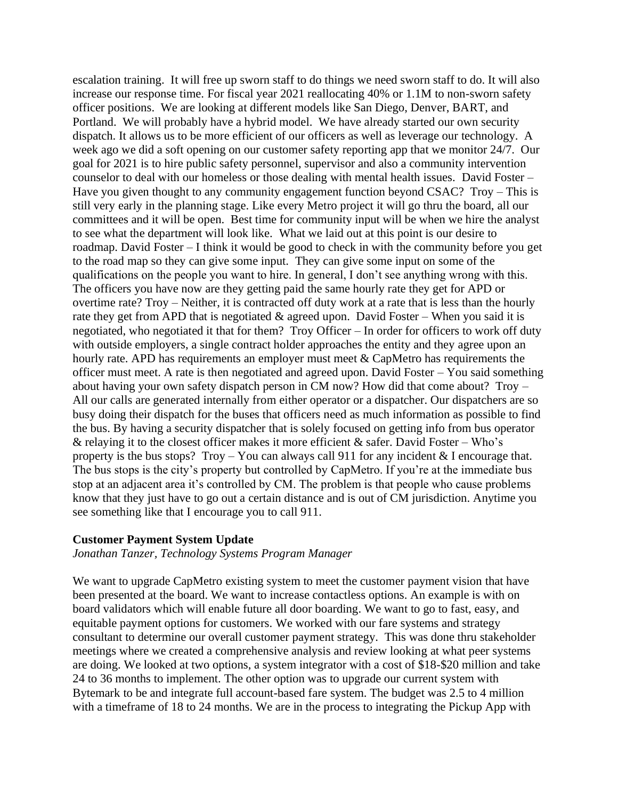escalation training. It will free up sworn staff to do things we need sworn staff to do. It will also increase our response time. For fiscal year 2021 reallocating 40% or 1.1M to non-sworn safety officer positions. We are looking at different models like San Diego, Denver, BART, and Portland. We will probably have a hybrid model. We have already started our own security dispatch. It allows us to be more efficient of our officers as well as leverage our technology. A week ago we did a soft opening on our customer safety reporting app that we monitor 24/7. Our goal for 2021 is to hire public safety personnel, supervisor and also a community intervention counselor to deal with our homeless or those dealing with mental health issues. David Foster – Have you given thought to any community engagement function beyond CSAC? Troy – This is still very early in the planning stage. Like every Metro project it will go thru the board, all our committees and it will be open. Best time for community input will be when we hire the analyst to see what the department will look like. What we laid out at this point is our desire to roadmap. David Foster – I think it would be good to check in with the community before you get to the road map so they can give some input. They can give some input on some of the qualifications on the people you want to hire. In general, I don't see anything wrong with this. The officers you have now are they getting paid the same hourly rate they get for APD or overtime rate? Troy – Neither, it is contracted off duty work at a rate that is less than the hourly rate they get from APD that is negotiated  $\&$  agreed upon. David Foster – When you said it is negotiated, who negotiated it that for them? Troy Officer – In order for officers to work off duty with outside employers, a single contract holder approaches the entity and they agree upon an hourly rate. APD has requirements an employer must meet & CapMetro has requirements the officer must meet. A rate is then negotiated and agreed upon. David Foster – You said something about having your own safety dispatch person in CM now? How did that come about? Troy – All our calls are generated internally from either operator or a dispatcher. Our dispatchers are so busy doing their dispatch for the buses that officers need as much information as possible to find the bus. By having a security dispatcher that is solely focused on getting info from bus operator & relaying it to the closest officer makes it more efficient & safer. David Foster – Who's property is the bus stops? Troy – You can always call 911 for any incident  $&$  I encourage that. The bus stops is the city's property but controlled by CapMetro. If you're at the immediate bus stop at an adjacent area it's controlled by CM. The problem is that people who cause problems know that they just have to go out a certain distance and is out of CM jurisdiction. Anytime you see something like that I encourage you to call 911.

#### **Customer Payment System Update**

*Jonathan Tanzer, Technology Systems Program Manager*

We want to upgrade CapMetro existing system to meet the customer payment vision that have been presented at the board. We want to increase contactless options. An example is with on board validators which will enable future all door boarding. We want to go to fast, easy, and equitable payment options for customers. We worked with our fare systems and strategy consultant to determine our overall customer payment strategy. This was done thru stakeholder meetings where we created a comprehensive analysis and review looking at what peer systems are doing. We looked at two options, a system integrator with a cost of \$18-\$20 million and take 24 to 36 months to implement. The other option was to upgrade our current system with Bytemark to be and integrate full account-based fare system. The budget was 2.5 to 4 million with a timeframe of 18 to 24 months. We are in the process to integrating the Pickup App with